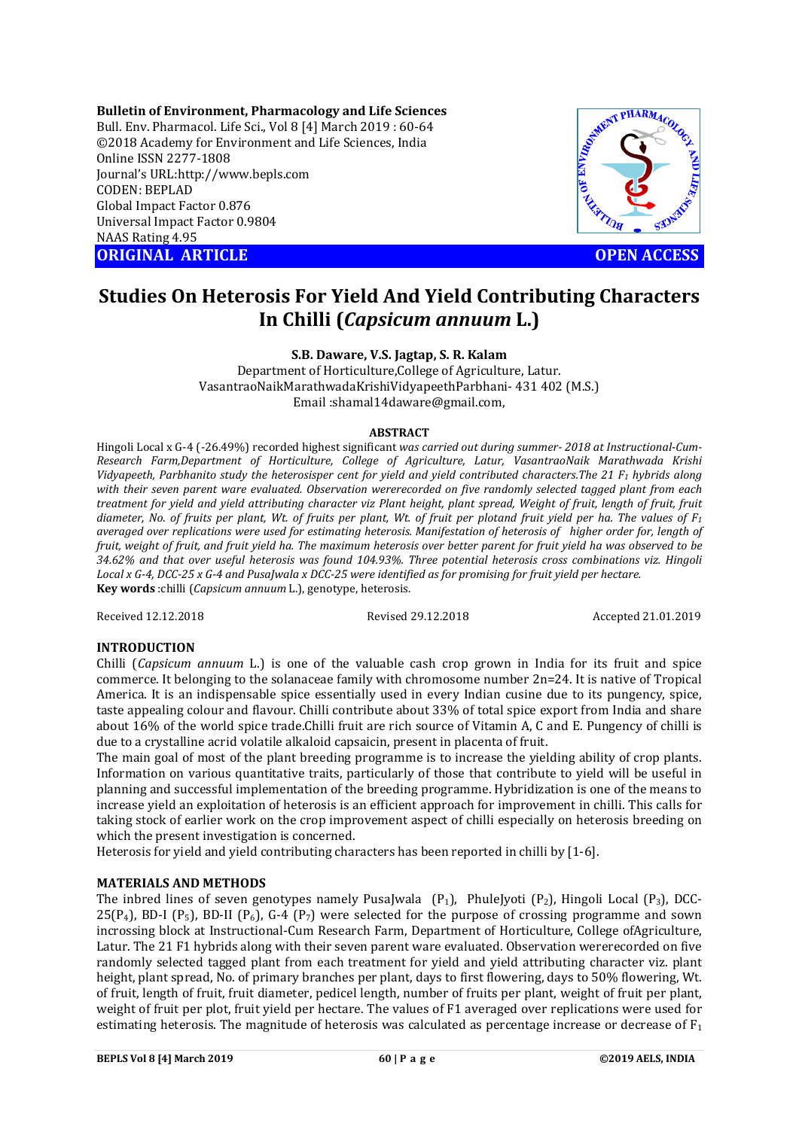**Bulletin of Environment, Pharmacology and Life Sciences** Bull. Env. Pharmacol. Life Sci., Vol 8 [4] March 2019 : 60-64 ©2018 Academy for Environment and Life Sciences, India Online ISSN 2277-1808 Journal's URL:http://www.bepls.com CODEN: BEPLAD Global Impact Factor 0.876 Universal Impact Factor 0.9804 NAAS Rating 4.95 **ORIGINAL ARTICLE OPEN ACCESS** 

MENT PHARMACOUGH

# **Studies On Heterosis For Yield And Yield Contributing Characters In Chilli (***Capsicum annuum* **L.)**

**S.B. Daware, V.S. Jagtap, S. R. Kalam**

Department of Horticulture,College of Agriculture, Latur. VasantraoNaikMarathwadaKrishiVidyapeethParbhani- 431 402 (M.S.) Email :shamal14daware@gmail.com,

## **ABSTRACT**

Hingoli Local x G-4 (-26.49%) recorded highest significant *was carried out during summer- 2018 at Instructional-Cum-Research Farm,Department of Horticulture, College of Agriculture, Latur, VasantraoNaik Marathwada Krishi Vidyapeeth, Parbhanito study the heterosisper cent for yield and yield contributed characters.The 21 F1 hybrids along with their seven parent ware evaluated. Observation wererecorded on five randomly selected tagged plant from each treatment for yield and yield attributing character viz Plant height, plant spread, Weight of fruit, length of fruit, fruit diameter, No. of fruits per plant, Wt. of fruits per plant, Wt. of fruit per plotand fruit yield per ha. The values of F1 averaged over replications were used for estimating heterosis. Manifestation of heterosis of higher order for, length of fruit, weight of fruit, and fruit yield ha. The maximum heterosis over better parent for fruit yield ha was observed to be 34.62% and that over useful heterosis was found 104.93%. Three potential heterosis cross combinations viz. Hingoli Local x G-4, DCC-25 x G-4 and PusaJwala x DCC-25 were identified as for promising for fruit yield per hectare.* **Key words** :chilli (*Capsicum annuum* L.), genotype, heterosis.

Received 12.12.2018 Revised 29.12.2018 Accepted 21.01.2019

## **INTRODUCTION**

Chilli (*Capsicum annuum* L.) is one of the valuable cash crop grown in India for its fruit and spice commerce. It belonging to the solanaceae family with chromosome number 2n=24. It is native of Tropical America. It is an indispensable spice essentially used in every Indian cusine due to its pungency, spice, taste appealing colour and flavour. Chilli contribute about 33% of total spice export from India and share about 16% of the world spice trade.Chilli fruit are rich source of Vitamin A, C and E. Pungency of chilli is due to a crystalline acrid volatile alkaloid capsaicin, present in placenta of fruit.

The main goal of most of the plant breeding programme is to increase the yielding ability of crop plants. Information on various quantitative traits, particularly of those that contribute to yield will be useful in planning and successful implementation of the breeding programme. Hybridization is one of the means to increase yield an exploitation of heterosis is an efficient approach for improvement in chilli. This calls for taking stock of earlier work on the crop improvement aspect of chilli especially on heterosis breeding on which the present investigation is concerned.

Heterosis for yield and yield contributing characters has been reported in chilli by [1-6].

## **MATERIALS AND METHODS**

The inbred lines of seven genotypes namely PusaJwala  $(P_1)$ , PhuleJyoti  $(P_2)$ , Hingoli Local  $(P_3)$ , DCC-25( $P_4$ ), BD-I ( $P_5$ ), BD-II ( $P_6$ ), G-4 ( $P_7$ ) were selected for the purpose of crossing programme and sown incrossing block at Instructional-Cum Research Farm, Department of Horticulture, College ofAgriculture, Latur. The 21 F1 hybrids along with their seven parent ware evaluated. Observation wererecorded on five randomly selected tagged plant from each treatment for yield and yield attributing character viz. plant height, plant spread, No. of primary branches per plant, days to first flowering, days to 50% flowering, Wt. of fruit, length of fruit, fruit diameter, pedicel length, number of fruits per plant, weight of fruit per plant, weight of fruit per plot, fruit yield per hectare. The values of F1 averaged over replications were used for estimating heterosis. The magnitude of heterosis was calculated as percentage increase or decrease of  $F_1$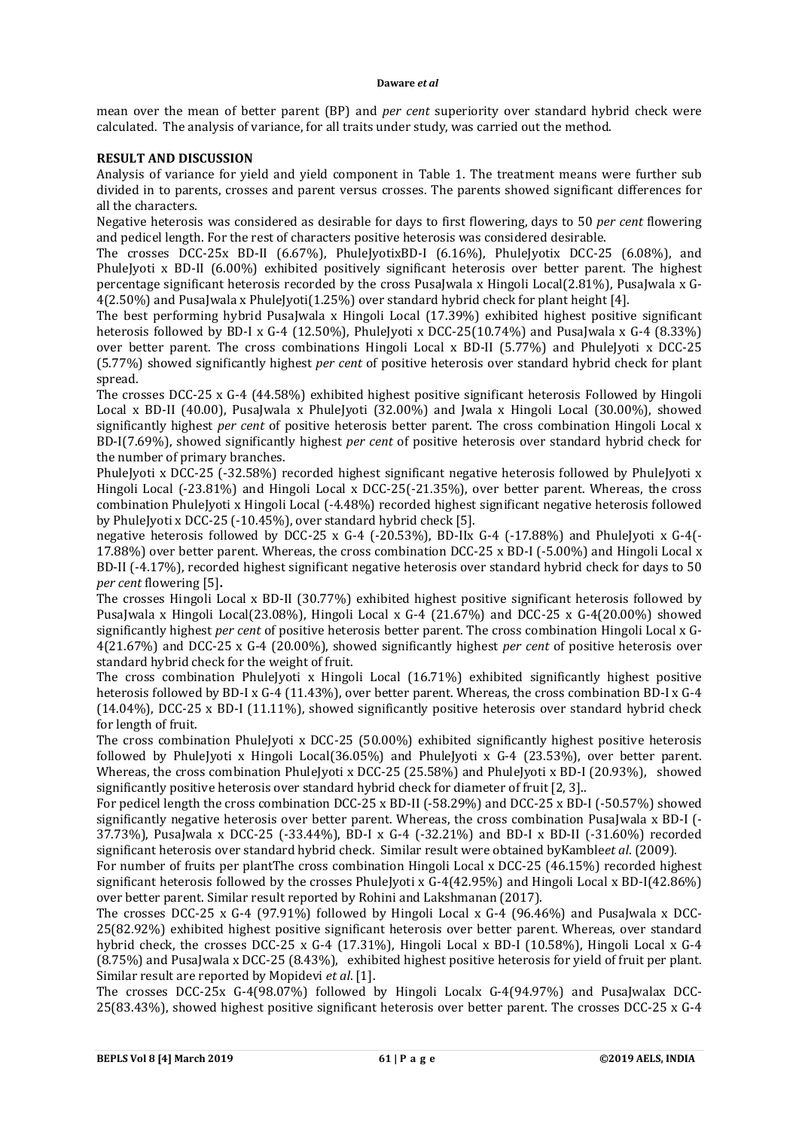mean over the mean of better parent (BP) and *per cent* superiority over standard hybrid check were calculated. The analysis of variance, for all traits under study, was carried out the method.

## **RESULT AND DISCUSSION**

Analysis of variance for yield and yield component in Table 1. The treatment means were further sub divided in to parents, crosses and parent versus crosses. The parents showed significant differences for all the characters.

Negative heterosis was considered as desirable for days to first flowering, days to 50 *per cent* flowering and pedicel length. For the rest of characters positive heterosis was considered desirable.

The crosses DCC-25x BD-II (6.67%), PhuleJyotixBD-I (6.16%), PhuleJyotix DCC-25 (6.08%), and PhuleJyoti x BD-II (6.00%) exhibited positively significant heterosis over better parent. The highest percentage significant heterosis recorded by the cross PusaJwala x Hingoli Local(2.81%), PusaJwala x G-4(2.50%) and PusaJwala x PhuleJyoti(1.25%) over standard hybrid check for plant height [4].

The best performing hybrid PusaJwala x Hingoli Local (17.39%) exhibited highest positive significant heterosis followed by BD-I x G-4 (12.50%), PhuleJyoti x DCC-25(10.74%) and PusaJwala x G-4 (8.33%) over better parent. The cross combinations Hingoli Local x BD-II (5.77%) and PhuleJyoti x DCC-25 (5.77%) showed significantly highest *per cent* of positive heterosis over standard hybrid check for plant spread.

The crosses DCC-25 x G-4 (44.58%) exhibited highest positive significant heterosis Followed by Hingoli Local x BD-II (40.00), PusaJwala x PhuleJyoti (32.00%) and Jwala x Hingoli Local (30.00%), showed significantly highest *per cent* of positive heterosis better parent. The cross combination Hingoli Local x BD-I(7.69%), showed significantly highest *per cent* of positive heterosis over standard hybrid check for the number of primary branches.

PhuleJyoti x DCC-25 (-32.58%) recorded highest significant negative heterosis followed by PhuleJyoti x Hingoli Local (-23.81%) and Hingoli Local x DCC-25(-21.35%), over better parent. Whereas, the cross combination PhuleJyoti x Hingoli Local (-4.48%) recorded highest significant negative heterosis followed by PhuleJyoti x DCC-25 (-10.45%), over standard hybrid check [5].

negative heterosis followed by DCC-25 x G-4 (-20.53%), BD-IIx G-4 (-17.88%) and PhuleJyoti x G-4(- 17.88%) over better parent. Whereas, the cross combination DCC-25 x BD-I (-5.00%) and Hingoli Local x BD-II (-4.17%), recorded highest significant negative heterosis over standard hybrid check for days to 50 *per cent* flowering [5]**.**

The crosses Hingoli Local x BD-II (30.77%) exhibited highest positive significant heterosis followed by PusaJwala x Hingoli Local(23.08%), Hingoli Local x G-4 (21.67%) and DCC-25 x G-4(20.00%) showed significantly highest *per cent* of positive heterosis better parent. The cross combination Hingoli Local x G-4(21.67%) and DCC-25 x G-4 (20.00%), showed significantly highest *per cent* of positive heterosis over standard hybrid check for the weight of fruit.

The cross combination PhuleJyoti x Hingoli Local (16.71%) exhibited significantly highest positive heterosis followed by BD-I x G-4 (11.43%), over better parent. Whereas, the cross combination BD-I x G-4 (14.04%), DCC-25 x BD-I (11.11%), showed significantly positive heterosis over standard hybrid check for length of fruit.

The cross combination PhuleJyoti x DCC-25 (50.00%) exhibited significantly highest positive heterosis followed by PhuleJyoti x Hingoli Local(36.05%) and PhuleJyoti x G-4 (23.53%), over better parent. Whereas, the cross combination PhuleJyoti x DCC-25 (25.58%) and PhuleJyoti x BD-I (20.93%), showed significantly positive heterosis over standard hybrid check for diameter of fruit [2, 3]..

For pedicel length the cross combination DCC-25 x BD-II (-58.29%) and DCC-25 x BD-I (-50.57%) showed significantly negative heterosis over better parent. Whereas, the cross combination PusaJwala x BD-I (- 37.73%), PusaJwala x DCC-25 (-33.44%), BD-I x G-4 (-32.21%) and BD-I x BD-II (-31.60%) recorded significant heterosis over standard hybrid check. Similar result were obtained byKamble*et al*. (2009).

For number of fruits per plantThe cross combination Hingoli Local x DCC-25 (46.15%) recorded highest significant heterosis followed by the crosses PhuleJyoti x G-4(42.95%) and Hingoli Local x BD-I(42.86%) over better parent. Similar result reported by Rohini and Lakshmanan (2017).

The crosses DCC-25 x G-4 (97.91%) followed by Hingoli Local x G-4 (96.46%) and PusaJwala x DCC-25(82.92%) exhibited highest positive significant heterosis over better parent. Whereas, over standard hybrid check, the crosses DCC-25 x G-4 (17.31%), Hingoli Local x BD-I (10.58%), Hingoli Local x G-4 (8.75%) and PusaJwala x DCC-25 (8.43%), exhibited highest positive heterosis for yield of fruit per plant. Similar result are reported by Mopidevi *et al*. [1].

The crosses DCC-25x G-4(98.07%) followed by Hingoli Localx G-4(94.97%) and PusaJwalax DCC-25(83.43%), showed highest positive significant heterosis over better parent. The crosses DCC-25 x G-4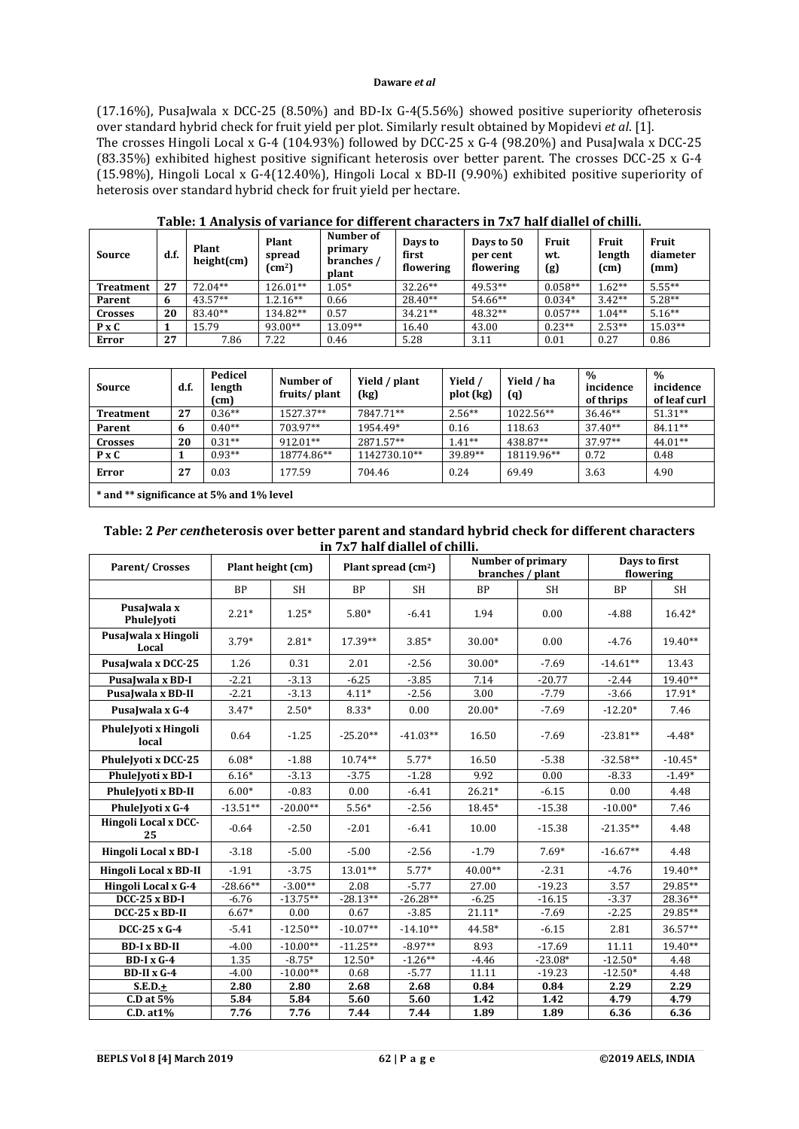(17.16%), PusaJwala x DCC-25 (8.50%) and BD-Ix G-4(5.56%) showed positive superiority ofheterosis over standard hybrid check for fruit yield per plot. Similarly result obtained by Mopidevi *et al*. [1]. The crosses Hingoli Local x G-4 (104.93%) followed by DCC-25 x G-4 (98.20%) and PusaJwala x DCC-25 (83.35%) exhibited highest positive significant heterosis over better parent. The crosses DCC-25 x G-4 (15.98%), Hingoli Local x G-4(12.40%), Hingoli Local x BD-II (9.90%) exhibited positive superiority of heterosis over standard hybrid check for fruit yield per hectare.

| Source           | d.f. | Plant<br>height(cm) | Plant<br>spread<br>$\text{(cm}^2\text{)}$ | Number of<br>primary<br>branches /<br>plant | Days to<br>first<br>flowering | Days to 50<br>per cent<br>flowering | Fruit<br>wt.<br>(g) | <b>Fruit</b><br>length<br>(cm) | Fruit<br>diameter<br>(mm) |
|------------------|------|---------------------|-------------------------------------------|---------------------------------------------|-------------------------------|-------------------------------------|---------------------|--------------------------------|---------------------------|
| <b>Treatment</b> | 27   | $72.04**$           | 126.01**                                  | $1.05*$                                     | $32.26**$                     | 49.53**                             | $0.058**$           | $1.62**$                       | $5.55***$                 |
| Parent           | 6    | $43.57**$           | $1.2.16**$                                | 0.66                                        | $28.40**$                     | 54.66**                             | $0.034*$            | $3.42**$                       | $5.28**$                  |
| <b>Crosses</b>   | 20   | 83.40**             | 134.82**                                  | 0.57                                        | $34.21**$                     | 48.32**                             | $0.057**$           | $1.04**$                       | $5.16**$                  |
| $P \times C$     |      | 15.79               | 93.00**                                   | $13.09**$                                   | 16.40                         | 43.00                               | $0.23**$            | $2.53**$                       | $15.03**$                 |
| <b>Error</b>     | 27   | 7.86                | 7.22                                      | 0.46                                        | 5.28                          | 3.11                                | 0.01                | 0.27                           | 0.86                      |

|  |  | Table: 1 Analysis of variance for different characters in 7x7 half diallel of chilli. |  |  |
|--|--|---------------------------------------------------------------------------------------|--|--|
|  |  |                                                                                       |  |  |

| Source                                   | d.f. | Pedicel<br>length<br>(cm) | Number of<br>fruits/plant | Yield / plant<br>(kg) | Yield /<br>plot (kg) | Yield / ha<br>(q) | $\frac{0}{0}$<br>incidence<br>of thrips | $\%$<br>incidence<br>of leaf curl |  |
|------------------------------------------|------|---------------------------|---------------------------|-----------------------|----------------------|-------------------|-----------------------------------------|-----------------------------------|--|
| Treatment                                | 27   | $0.36**$                  | 1527.37**                 | 7847.71**             | $2.56**$             | 1022.56**         | $36.46**$                               | $51.31**$                         |  |
| Parent                                   | 6    | $0.40**$                  | 703.97**                  | 1954.49*              | 0.16                 | 118.63            | $37.40**$                               | 84.11**                           |  |
| Crosses                                  | 20   | $0.31**$                  | $912.01**$                | 2871.57**             | $1.41**$             | 438.87**          | $37.97**$                               | $44.01**$                         |  |
| $P \times C$                             |      | $0.93**$                  | 18774.86**                | 1142730.10**          | 39.89**              | 18119.96**        | 0.72                                    | 0.48                              |  |
| Error                                    | 27   | 0.03                      | 177.59                    | 704.46                | 0.24                 | 69.49             | 3.63                                    | 4.90                              |  |
| * and ** significance at 5% and 1% level |      |                           |                           |                       |                      |                   |                                         |                                   |  |

## **Table: 2** *Per cent***heterosis over better parent and standard hybrid check for different characters in 7x7 half diallel of chilli.**

| Parent/Crosses                | Plant height (cm) |            | Plant spread (cm <sup>2</sup> ) |            |           | Number of primary<br>branches / plant | Days to first<br>flowering |           |  |
|-------------------------------|-------------------|------------|---------------------------------|------------|-----------|---------------------------------------|----------------------------|-----------|--|
|                               | <b>BP</b>         | <b>SH</b>  | <b>BP</b>                       | <b>SH</b>  | <b>BP</b> | <b>SH</b>                             | <b>BP</b>                  | <b>SH</b> |  |
| PusaJwala x<br>PhuleJvoti     | $2.21*$           | $1.25*$    | $5.80*$                         | $-6.41$    | 1.94      | 0.00                                  | $-4.88$                    | $16.42*$  |  |
| PusaJwala x Hingoli<br>Local  | $3.79*$           | $2.81*$    | 17.39**                         | $3.85*$    | 30.00*    | 0.00                                  | $-4.76$                    | 19.40**   |  |
| PusaJwala x DCC-25            | 1.26              | 0.31       | 2.01                            | $-2.56$    | 30.00*    | $-7.69$                               | $-14.61**$                 | 13.43     |  |
| PusaJwala x BD-I              | $-2.21$           | $-3.13$    | $-6.25$                         | $-3.85$    | 7.14      | $-20.77$                              | $-2.44$                    | 19.40**   |  |
| PusaJwala x BD-II             | $-2.21$           | $-3.13$    | $4.11*$                         | $-2.56$    | 3.00      | $-7.79$                               | $-3.66$                    | 17.91*    |  |
| PusaJwala x G-4               | $3.47*$           | $2.50*$    | $8.33*$                         | 0.00       | 20.00*    | $-7.69$                               | $-12.20*$                  | 7.46      |  |
| PhuleJyoti x Hingoli<br>local | 0.64              | $-1.25$    | $-25.20**$                      | $-41.03**$ | 16.50     | $-7.69$                               | $-23.81**$                 | $-4.48*$  |  |
| PhuleJvoti x DCC-25           | $6.08*$           | $-1.88$    | $10.74**$                       | $5.77*$    | 16.50     | $-5.38$                               | $-32.58**$                 | $-10.45*$ |  |
| PhuleJvoti x BD-I             | $6.16*$           | $-3.13$    | $-3.75$                         | $-1.28$    | 9.92      | 0.00                                  | $-8.33$                    | $-1.49*$  |  |
| PhuleJvoti x BD-II            | $6.00*$           | $-0.83$    | 0.00                            | $-6.41$    | $26.21*$  | $-6.15$                               | 0.00                       | 4.48      |  |
| PhuleJyoti x G-4              | $-13.51**$        | $-20.00**$ | $5.56*$                         | $-2.56$    | 18.45*    | $-15.38$                              | $-10.00*$                  | 7.46      |  |
| Hingoli Local x DCC-<br>25    | $-0.64$           | $-2.50$    | $-2.01$                         | $-6.41$    | 10.00     | $-15.38$                              | $-21.35**$                 | 4.48      |  |
| Hingoli Local x BD-I          | $-3.18$           | $-5.00$    | $-5.00$                         | $-2.56$    | $-1.79$   | $7.69*$                               | $-16.67**$                 | 4.48      |  |
| Hingoli Local x BD-II         | $-1.91$           | $-3.75$    | $13.01**$                       | $5.77*$    | 40.00**   | $-2.31$                               | $-4.76$                    | 19.40**   |  |
| Hingoli Local x G-4           | $-28.66**$        | $-3.00**$  | 2.08                            | $-5.77$    | 27.00     | $-19.23$                              | 3.57                       | 29.85**   |  |
| $DCC-25 \times BD-I$          | $-6.76$           | $-13.75**$ | $-28.13**$                      | $-26.28**$ | $-6.25$   | $-16.15$                              | $-3.37$                    | 28.36**   |  |
| $DCC-25 \times BD-II$         | $6.67*$           | 0.00       | 0.67                            | $-3.85$    | $21.11*$  | $-7.69$                               | $-2.25$                    | 29.85**   |  |
| $DCC-25xG-4$                  | $-5.41$           | $-12.50**$ | $-10.07**$                      | $-14.10**$ | 44.58*    | $-6.15$                               | 2.81                       | 36.57**   |  |
| <b>BD-I x BD-II</b>           | $-4.00$           | $-10.00**$ | $-11.25**$                      | $-8.97**$  | 8.93      | $-17.69$                              | 11.11                      | 19.40**   |  |
| $BD-IxG-4$                    | 1.35              | $-8.75*$   | 12.50*                          | $-1.26**$  | $-4.46$   | $-23.08*$                             | $-12.50*$                  | 4.48      |  |
| BD-II x G-4                   | $-4.00$           | $-10.00**$ | 0.68                            | $-5.77$    | 11.11     | $-19.23$                              | $-12.50*$                  | 4.48      |  |
| $S.E.D.+$                     | 2.80              | 2.80       | 2.68                            | 2.68       | 0.84      | 0.84                                  | 2.29                       | 2.29      |  |
| C.D at $5\%$                  | 5.84              | 5.84       | 5.60                            | 5.60       | 1.42      | 1.42                                  | 4.79                       | 4.79      |  |
| $C.D. at 1\%$                 | 7.76              | 7.76       | 7.44                            | 7.44       | 1.89      | 1.89                                  | 6.36                       | 6.36      |  |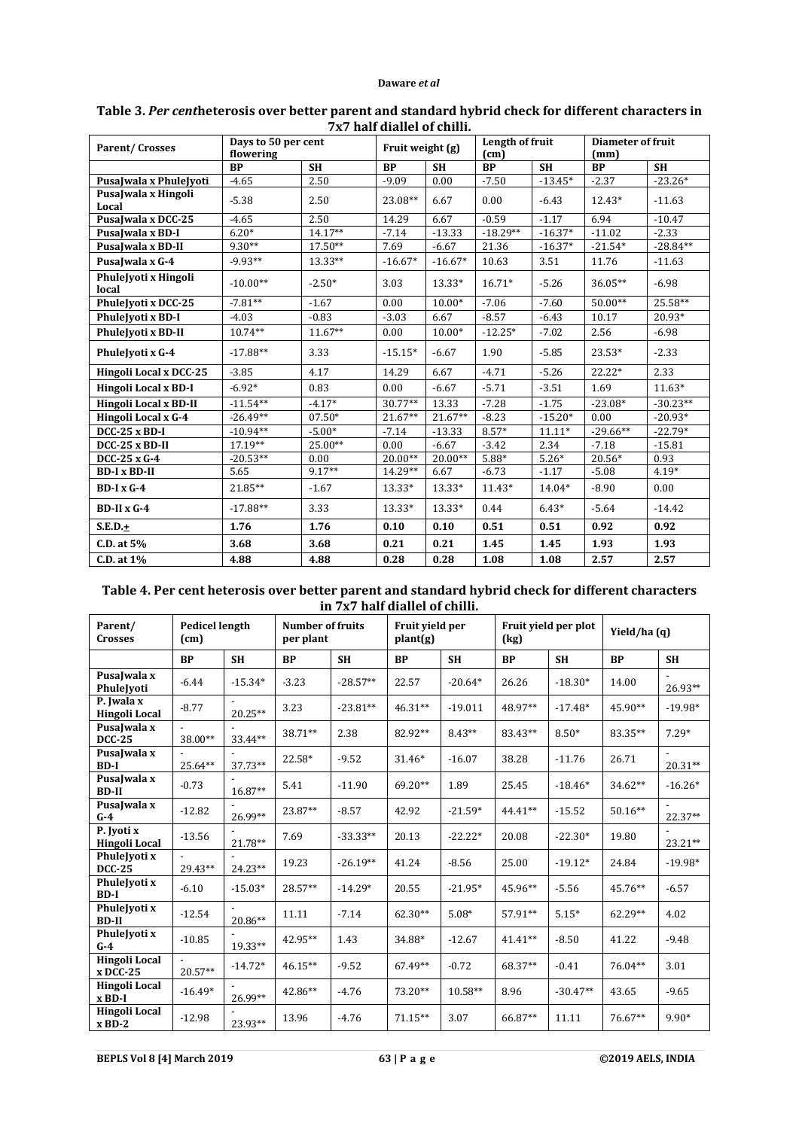|                               | Days to 50 per cent | 7A7 Han dianci oi chini. |                  | Length of fruit |            | <b>Diameter of fruit</b> |            |            |
|-------------------------------|---------------------|--------------------------|------------------|-----------------|------------|--------------------------|------------|------------|
| <b>Parent/Crosses</b>         | flowering           |                          | Fruit weight (g) |                 | (cm)       |                          | (mm)       |            |
|                               | <b>BP</b>           | <b>SH</b>                | <b>BP</b>        | <b>SH</b>       | <b>BP</b>  | <b>SH</b>                | <b>BP</b>  | <b>SH</b>  |
| PusaJwala x PhuleJyoti        | $-4.65$             | 2.50                     | $-9.09$          | 0.00            | $-7.50$    | $-13.45*$                | $-2.37$    | $-23.26*$  |
| PusaJwala x Hingoli<br>Local  | $-5.38$             | 2.50                     | 23.08**          | 6.67            | 0.00       | $-6.43$                  | 12.43*     | $-11.63$   |
| PusaJwala x DCC-25            | $-4.65$             | 2.50                     | 14.29            | 6.67            | $-0.59$    | $-1.17$                  | 6.94       | $-10.47$   |
| PusaJwala x BD-I              | $6.20*$             | 14.17**                  | $-7.14$          | $-13.33$        | $-18.29**$ | $-16.37*$                | $-11.02$   | $-2.33$    |
| PusaJwala x BD-II             | $9.30**$            | $17.50**$                | 7.69             | $-6.67$         | 21.36      | $-16.37*$                | $-21.54*$  | $-28.84**$ |
| PusaJwala x G-4               | $-9.93**$           | $13.33**$                | $-16.67*$        | $-16.67*$       | 10.63      | 3.51                     | 11.76      | $-11.63$   |
| PhuleJyoti x Hingoli<br>local | $-10.00**$          | $-2.50*$                 | 3.03             | 13.33*          | $16.71*$   | $-5.26$                  | 36.05**    | $-6.98$    |
| PhuleJyoti x DCC-25           | $-7.81**$           | $-1.67$                  | 0.00             | 10.00*          | $-7.06$    | $-7.60$                  | 50.00**    | 25.58**    |
| PhuleJyoti x BD-I             | $-4.03$             | $-0.83$                  | $-3.03$          | 6.67            | $-8.57$    | $-6.43$                  | 10.17      | 20.93*     |
| PhuleJyoti x BD-II            | $10.74**$           | $11.67**$                | 0.00             | $10.00*$        | $-12.25*$  | $-7.02$                  | 2.56       | $-6.98$    |
| PhuleJvoti x G-4              | $-17.88**$          | 3.33                     | $-15.15*$        | $-6.67$         | 1.90       | $-5.85$                  | 23.53*     | $-2.33$    |
| Hingoli Local x DCC-25        | $-3.85$             | 4.17                     | 14.29            | 6.67            | $-4.71$    | $-5.26$                  | 22.22*     | 2.33       |
| Hingoli Local x BD-I          | $-6.92*$            | 0.83                     | 0.00             | $-6.67$         | $-5.71$    | $-3.51$                  | 1.69       | $11.63*$   |
| Hingoli Local x BD-II         | $-11.54**$          | $-4.17*$                 | 30.77**          | 13.33           | $-7.28$    | $-1.75$                  | $-23.08*$  | $-30.23**$ |
| Hingoli Local x G-4           | $-26.49**$          | $07.50*$                 | $21.67**$        | 21.67**         | $-8.23$    | $-15.20*$                | 0.00       | $-20.93*$  |
| $DCC-25$ x BD-I               | $-10.94**$          | $-5.00*$                 | $-7.14$          | $-13.33$        | $8.57*$    | $11.11*$                 | $-29.66**$ | $-22.79*$  |
| DCC-25 x BD-II                | 17.19**             | 25.00**                  | 0.00             | $-6.67$         | $-3.42$    | 2.34                     | $-7.18$    | $-15.81$   |
| DCC-25 x G-4                  | $-20.53**$          | 0.00                     | $20.00**$        | $20.00**$       | $5.88*$    | $5.26*$                  | $20.56*$   | 0.93       |
| <b>BD-I x BD-II</b>           | 5.65                | $9.17**$                 | 14.29**          | 6.67            | $-6.73$    | $-1.17$                  | $-5.08$    | $4.19*$    |
| $BD-IxG-4$                    | 21.85**             | $-1.67$                  | 13.33*           | 13.33*          | 11.43*     | 14.04*                   | $-8.90$    | 0.00       |
| $BD-II x G-4$                 | $-17.88**$          | 3.33                     | 13.33*           | 13.33*          | 0.44       | $6.43*$                  | $-5.64$    | $-14.42$   |
| $S.E.D.+$                     | 1.76                | 1.76                     | 0.10             | 0.10            | 0.51       | 0.51                     | 0.92       | 0.92       |
| C.D. at 5%                    | 3.68                | 3.68                     | 0.21             | 0.21            | 1.45       | 1.45                     | 1.93       | 1.93       |
| C.D. at 1%                    | 4.88                | 4.88                     | 0.28             | 0.28            | 1.08       | 1.08                     | 2.57       | 2.57       |

## **Table 3.** *Per cent***heterosis over better parent and standard hybrid check for different characters in 7x7 half diallel of chilli.**

# **Table 4. Per cent heterosis over better parent and standard hybrid check for different characters in 7x7 half diallel of chilli.**

| Parent/<br><b>Crosses</b>          | <b>Pedicel length</b><br>(cm) |           | <b>Number of fruits</b><br>per plant |            | Fruit vield per<br>plant(g) |           | Fruit yield per plot<br>(kg) |            | Yield/ha(q) |           |
|------------------------------------|-------------------------------|-----------|--------------------------------------|------------|-----------------------------|-----------|------------------------------|------------|-------------|-----------|
|                                    | <b>BP</b>                     | <b>SH</b> | <b>BP</b>                            | <b>SH</b>  | <b>BP</b>                   | <b>SH</b> | <b>BP</b>                    | <b>SH</b>  | <b>BP</b>   | <b>SH</b> |
| PusaJwala x<br>PhuleJvoti          | $-6.44$                       | $-15.34*$ | $-3.23$                              | $-28.57**$ | 22.57                       | $-20.64*$ | 26.26                        | $-18.30*$  | 14.00       | 26.93**   |
| P. Iwala x<br>Hingoli Local        | $-8.77$                       | 20.25**   | 3.23                                 | $-23.81**$ | $46.31**$                   | $-19.011$ | 48.97**                      | $-17.48*$  | 45.90**     | $-19.98*$ |
| PusaJwala x<br><b>DCC-25</b>       | 38.00**                       | 33.44**   | 38.71**                              | 2.38       | 82.92**                     | $8.43**$  | 83.43**                      | $8.50*$    | 83.35**     | $7.29*$   |
| PusaJwala x<br>$BD-I$              | 25.64**                       | 37.73**   | 22.58*                               | $-9.52$    | 31.46*                      | $-16.07$  | 38.28                        | $-11.76$   | 26.71       | $20.31**$ |
| PusaJwala x<br><b>BD-II</b>        | $-0.73$                       | 16.87**   | 5.41                                 | $-11.90$   | 69.20**                     | 1.89      | 25.45                        | $-18.46*$  | 34.62**     | $-16.26*$ |
| PusaJwala x<br>$G-4$               | $-12.82$                      | 26.99**   | 23.87**                              | $-8.57$    | 42.92                       | $-21.59*$ | 44.41**                      | $-15.52$   | $50.16**$   | 22.37**   |
| P. Jyoti x<br><b>Hingoli Local</b> | $-13.56$                      | 21.78**   | 7.69                                 | $-33.33**$ | 20.13                       | $-22.22*$ | 20.08                        | $-22.30*$  | 19.80       | 23.21**   |
| PhuleJyoti x<br><b>DCC-25</b>      | 29.43**                       | $24.23**$ | 19.23                                | $-26.19**$ | 41.24                       | $-8.56$   | 25.00                        | $-19.12*$  | 24.84       | $-19.98*$ |
| PhuleJyoti x<br>$BD-I$             | $-6.10$                       | $-15.03*$ | 28.57**                              | $-14.29*$  | 20.55                       | $-21.95*$ | 45.96**                      | $-5.56$    | 45.76**     | $-6.57$   |
| PhuleJyoti x<br><b>BD-II</b>       | $-12.54$                      | $20.86**$ | 11.11                                | $-7.14$    | $62.30**$                   | $5.08*$   | 57.91**                      | $5.15*$    | $62.29**$   | 4.02      |
| PhuleJyoti x<br>$G-4$              | $-10.85$                      | 19.33**   | 42.95**                              | 1.43       | 34.88*                      | $-12.67$  | $41.41**$                    | $-8.50$    | 41.22       | $-9.48$   |
| Hingoli Local<br>$x$ DCC-25        | 20.57**                       | $-14.72*$ | $46.15**$                            | $-9.52$    | 67.49**                     | $-0.72$   | 68.37**                      | $-0.41$    | 76.04**     | 3.01      |
| <b>Hingoli Local</b><br>$x$ BD-I   | $-16.49*$                     | 26.99**   | 42.86**                              | $-4.76$    | 73.20**                     | 10.58**   | 8.96                         | $-30.47**$ | 43.65       | $-9.65$   |
| <b>Hingoli Local</b><br>$x$ BD-2   | $-12.98$                      | 23.93**   | 13.96                                | $-4.76$    | $71.15**$                   | 3.07      | 66.87**                      | 11.11      | $76.67**$   | $9.90*$   |